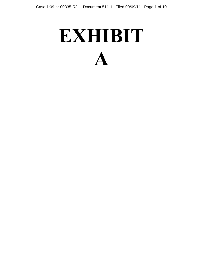## **EXHIBIT A**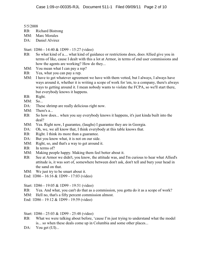5/5/2008

- RB: Richard Bistrong
- MM: Marc Morales
- DA: Daniel Alvirez

## Start: 1D86 - 14:40 & 1D99 - 15:27 (video)

- RB: So what kind of a.... what kind of guidance or restrictions does, does Allied give you in terms of like, cause I dealt with this a lot at Armor, in terms of end user commissions and how the agents are working? How do they...
- MM: You mean what I can pay a rep?
- RB: Yea, what you can pay a rep.
- MM: I have to get whatever agreement we have with them vetted, but I always, I always have ways around it, whether it is writing a scope of work for 'em, to a company, there's always ways to getting around it. I mean nobody wants to violate the FCPA, so we'll start there, but everybody knows it happens.
- RB: Right.
- MM: So...
- DA: These shrimp are really delicious right now.
- MM: There's a...
- RB: So how does... when you say everybody knows it happens, it's just kinda built into the deal?
- MM: Yea. Right now, I guarantee, (laughs) I guarantee they are in Georgia.
- DA: Oh, we, we all know that, I think everybody at this table knows that.
- RB: Right. I think its more than a guarantee.
- DA: But you know what, it is not on our side.
- MM: Right, so, and that's a way to get around it.
- RB: In terms of?
- MM: Making people happy. Making them feel better about it.
- RB: See at Armor we didn't, you know, the attitude was, and I'm curious to hear what Allied's attitude is, it was sort of, somewhere between don't ask, don't tell and bury your head in the sand on that.
- MM: We just try to be smart about it.
- End: 1D86 16:16 & 1D99 17:03 (video)
- Start: 1D86 19:05 & 1D99 19:51 (video)
- RB: Yea. And what, you can't do that as a commission, you gotta do it as a scope of work?
- MM: Hell no, that's a fifty percent commission almost.
- End: 1D86 19:12 & 1D99 19:59 (video)

Start: 1D86 - 25:03 & 1D99 - 25:48 (video)

- RB: What we were talking about before, 'cause I'm just trying to understand what the model is... so when these deals come up in Columbia and some other places...
- DA: You get (UI)...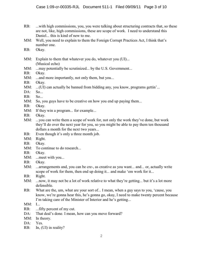- RB: ...with high commissions, you, you were talking about structuring contracts that, so these are not, like, high commissions, these are scope of work. I need to understand this Daniel... this is kind of new to me.
- MM: Well, you need to explain to them the Foreign Corrupt Practices Act, I think that's number one.
- RB: Okay.
- MM: Explain to them that whatever you do, whatever you (UI)... (Musical echo)
- MM: ...may potentially be scrutinized... by the U.S. Government...
- RB: Okay.
- MM: ...and more importantly, not only them, but you...
- RB: Okay.
- MM: ...(UI) can actually be banned from bidding any, you know, programs gettin'...
- $DA: So...$
- RB: So...
- MM: So, you guys have to be creative on how you end up paying them...
- RB: Okay.
- MM: If they win a program... for example...
- RB: Okay.
- MM: ...you can write them a scope of work for, not only the work they've done, but work they'll do over the next year for you, so you might be able to pay them ten thousand dollars a month for the next two years...
- RB: Even though it's only a three month job.
- MM: Right.
- RB: Okay.
- MM: To continue to do research...
- RB: Okay.
- MM: ...meet with you...
- RB: Okay.
- MM: ...arrangements and, you can be cre-, as creative as you want... and... or, actually write scope of work for them, then end up doing it... and make 'em work for it...
- RB: Right.
- MM: ...now, it may not be a lot of work relative to what they're getting... but it's a lot more defensible.
- RB: What are the, um, what are your sort of... I mean, when a guy says to you, 'cause, you know, we're gonna hear this, he's gonna go, okay, I need to make twenty percent because I'm taking care of the Minister of Interior and he's getting...
- MM: I...
- RB: ...fifty percent of my cut.
- DA: That deal's done. I mean, how can you move forward?
- MM: In theory.
- DA: Yes.
- RB: In, (UI) in reality?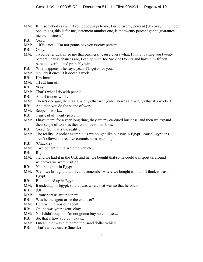- MM: If, if somebody says... if somebody says to me, I need twenty percent (UI) okay, I, number one, this is, this is for me, statement number one, is the twenty percent gonna guarantee me the business?
- RB: Okay.
- MM: ...if it's not... I'm not gonna pay you twenty percent...
- RB: Okay.
- MM: ...you better guarantee me that business, 'cause guess what, I'm not paying you twenty percent, 'cause chances are, I can go with Joe Sack of Donuts and have him fifteen percent over bid and probably win.
- RB: What happens if he says, yeah, I'll get it for you?
- MM: You try it once, if it doesn't work...
- RB: Hm-hmm.
- MM: ...I cut him off.
- RB: 'Kay.
- MM: That's what I do with people.
- RB: And if it does work?
- MM: There's one guy, there's a few guys that we, yeah. There's a few guys that it's worked...
- RB: And then you do the scope of work...
- MM: Scope of work...
- RB: ...instead of twenty percent...
- MM: I have them, for a very long time, they are my captured business, and then we expand their scope of work as they continue to win bids.
- RB: Okay. So, that's the reality.
- MM: The reality. Another example, is we bought like our guy in Egypt, 'cause Egyptians' aren't allowed to receive commissions, we bought...
- RB: (Chuckle)
- MM: ...we bought him a armored vehicle...
- RB: Right.
- MM: ...and we had it in the U.S. and he, we bought that so he could transport us around whenever we were visiting.
- RB: You bought it in Egypt.
- MM: Well, we brought it, uh, I can't remember where we bought it. I don't think it was in Egypt.
- RB: But it ended up in Egypt.
- MM: It ended up in Egypt, so that was when, that was so that he could...
- RB: (UI)
- MM: ...transport us around there.
- RB: Was he the agent or he the end user?
- MM: He was... he was our agent.
- RB: Oh, he was your agent, okay.
- MM: No I didn't buy, no I'm not gonna buy no end user...
- RB: So, that's how you got, okay...
- MM: I mean, that was a hundred thousand dollar vehicle.
- RB: That's a nice car. (Chuckle)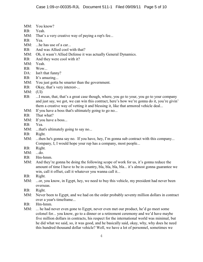- MM: You know?
- RB: Yeah.
- MM: That's a very creative way of paying a rep's fee...
- RB: Yea.
- MM: ...he has use of a car...
- RB: And was Allied cool with that?
- MM: Oh, it wasn't Allied Defense it was actually General Dynamics.
- RB: And they were cool with it?
- MM: Yeah.
- RB: Wow...
- DA: Isn't that funny?
- RB: It's amazing...
- MM: You just gotta be smarter than the government.
- RB: Okay, that's very interest-...
- MM: (UI)
- RB: ...I mean, that, that's a great case though, where, you go to your, you go to your company and just say, we got, we can win this contract, here's how we're gonna do it, you're givin' them a creative way of vetting it and blessing it, like that armored vehicle deal...
- MM: If you have a boss that's ultimately going to go no...
- RB: That what?
- MM: If you have a boss...
- RB: Yea.
- MM: ...that's ultimately going to say no...
- RB: Right.
- MM: ...then he's gonna say no. If you have, hey, I'm gonna sub contract with this company... Company, I, I would hope your rep has a company, most people...
- RB: Right.
- MM: ...do.
- RB: Hm-hmm.
- MM: And they're gonna be doing the following scope of work for us, it's gonna reduce the amount of time I have to be in country, bla, bla, bla, bla... it's almost gonna guarantee we win, call it offset, call it whatever you wanna call it...
- RB: Right.
- MM: ...or, you know, in Egypt, hey, we need to buy this vehicle, my president had never been overseas.
- RB: Right.
- MM: Never been to Egypt, and we had on the order probably seventy million dollars in contract over a year's timeframe...
- RB: Hm-hmm.
- MM: ... he had never even gone to Egypt, never even met our product, he'd go meet some colonel for... you know, go to a dinner or a retirement ceremony and we'd have maybe five million dollars in contracts, his respect for the international world was minimal, but he did what we said, so, it was good, and he basically said, okay, why, why does he need this hundred thousand dollar vehicle? Well, we have a lot of personnel, sometimes we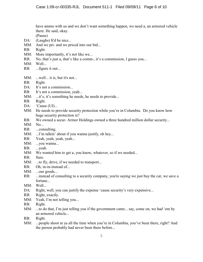have ammo with us and we don't want something happen, we need a, an armored vehicle there. He said, okay.

(Pause)

- DA: (Laughs) It'd be nice...
- MM: And we pri- and we priced into our bid...
- RB: Right.
- MM: More importantly, it's not like we...
- RB: No, that's just a, that's like a comm-, it's a commission, I guess you...
- MM: Well...
- RB: ... figure it out...
- MM: ...well... it is, but it's not...
- RB: Right.
- DA: It's not a commission...
- RB: It's not a commission, yeah...
- MM: ...it's, it's something he needs, he needs to provide...
- RB: Right.
- DA: 'Cause (UI)...
- MM: He needs to provide security protection while you're in Columbia. Do you know how huge security protection is?
- RB: We owned a secur- Armor Holdings owned a three hundred million dollar security...
- MM: No...
- RB: ...consulting.
- MM: ...I'm talkin' about if you wanna justify, oh hey...
- RB: Yeah, yeah, yeah, yeah...
- MM: ...you wanna...
- RB: ...yeah.
- MM: We wanted him to get a, you know, whatever, so if we needed...
- RB: Sure.
- MM: ...to fly, drive, if we needed to transport...
- RB: Oh, in-in-instead of...
- MM: ...our goods...
- RB: ...instead of consulting to a security company, you're saying we just buy the car, we save a fortune...
- MM: Well...
- DA: Right, well, you can justify the expense 'cause security's very expensive...
- RB: Right, exactly.
- MM: Yeah, I'm not telling you...
- RB: Right.
- MM: ...to do that, I'm just telling you if the government came... say, come on, we had 'em by an armored vehicle...
- RB: Right.
- MM: ...people shoot at ya all the time when you're in Columbia, you've been there, right? And the person probably had never been there before...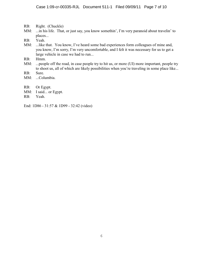- RB: Right. (Chuckle)
- MM: ...in his life. That, or just say, you know somethin', I'm very paranoid about travelin' to places...
- RB: Yeah.
- MM: ...like that. You know, I've heard some bad experiences form colleagues of mine and, you know, I'm sorry, I'm very uncomfortable, and I felt it was necessary for us to get a large vehicle in case we had to run...
- RB: Hmm.
- MM: ...people off the road, in case people try to hit us, or more (UI) more important, people try to shoot us, all of which are likely possibilities when you're traveling in some place like...
- RB: Sure.
- MM: ...Columbia.
- RB: Or Egypt.
- MM: I said... or Egypt.
- RB: Yeah.
- End: 1D86 31:57 & 1D99 32:42 (video)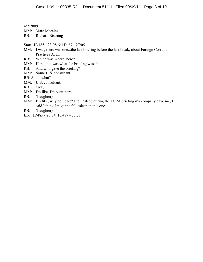4/2/2009

MM: Marc Morales

RB: Richard Bistrong

- Start: 1D485 23:08 & 1D487 27:05
- MM: I was, there was one...the last briefing before the last break, about Foreign Corrupt Practices Act...
- RB: Which was where, here?
- MM: Here, that was what the briefing was about.
- RB: And who gave the briefing?
- MM: Some U.S. consultant.

RB: Some what?

- MM: U.S. consultant.
- RB: Okay.
- MM: I'm like, I'm outta here.
- RB: (Laughter)
- MM: I'm like, why do I care? I fell asleep during the FCPA briefing my company gave me, I said I think I'm gonna fall asleep in this one.
- RB: (Laughter)
- End: 1D485 23:34 1D487 27:31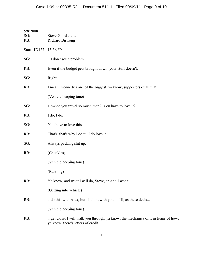| 5/8/2008<br>SG:<br>RB:  | Steve Giordanella<br><b>Richard Bistrong</b>                                                                             |  |
|-------------------------|--------------------------------------------------------------------------------------------------------------------------|--|
| Start: 1D127 - 15:36:59 |                                                                                                                          |  |
| SG:                     | I don't see a problem.                                                                                                   |  |
| RB:                     | Even if the budget gets brought down, your stuff doesn't.                                                                |  |
| SG:                     | Right.                                                                                                                   |  |
| RB:                     | I mean, Kennedy's one of the biggest, ya know, supporters of all that.                                                   |  |
|                         | (Vehicle beeping tone)                                                                                                   |  |
| SG:                     | How do you travel so much man? You have to love it?                                                                      |  |
| RB:                     | I do, I do.                                                                                                              |  |
| SG:                     | You have to love this.                                                                                                   |  |
| RB:                     | That's, that's why I do it. I do love it.                                                                                |  |
| SG:                     | Always packing shit up.                                                                                                  |  |
| RB:                     | (Chuckles)                                                                                                               |  |
|                         | (Vehicle beeping tone)                                                                                                   |  |
|                         | (Rustling)                                                                                                               |  |
| RB:                     | Ya know, and what I will do, Steve, an-and I won't                                                                       |  |
|                         | (Getting into vehicle)                                                                                                   |  |
| RB:                     | do this with Alex, but I'll do it with you, is I'll, as these deals                                                      |  |
|                         | (Vehicle beeping tone)                                                                                                   |  |
| RB:                     | get closer I will walk you through, ya know, the mechanics of it in terms of how,<br>ya know, there's letters of credit. |  |